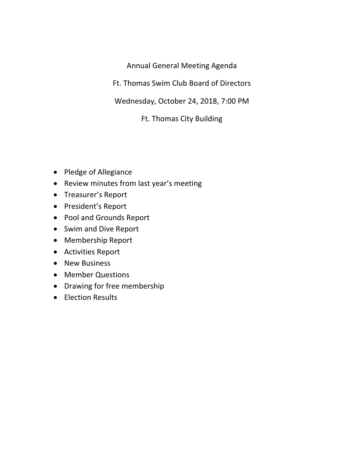Annual General Meeting Agenda

Ft. Thomas Swim Club Board of Directors

Wednesday, October 24, 2018, 7:00 PM

Ft. Thomas City Building

- Pledge of Allegiance
- Review minutes from last year's meeting
- Treasurer's Report
- President's Report
- Pool and Grounds Report
- Swim and Dive Report
- Membership Report
- Activities Report
- New Business
- Member Questions
- Drawing for free membership
- Election Results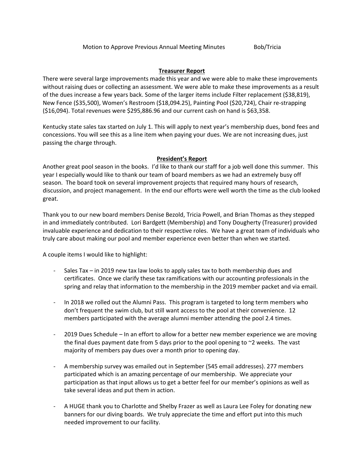### **Treasurer Report**

There were several large improvements made this year and we were able to make these improvements without raising dues or collecting an assessment. We were able to make these improvements as a result of the dues increase a few years back. Some of the larger items include Filter replacement (\$38,819), New Fence (\$35,500), Women's Restroom (\$18,094.25), Painting Pool (\$20,724), Chair re‐strapping (\$16,094). Total revenues were \$295,886.96 and our current cash on hand is \$63,358.

Kentucky state sales tax started on July 1. This will apply to next year's membership dues, bond fees and concessions. You will see this as a line item when paying your dues. We are not increasing dues, just passing the charge through.

# **President's Report**

Another great pool season in the books. I'd like to thank our staff for a job well done this summer. This year I especially would like to thank our team of board members as we had an extremely busy off season. The board took on several improvement projects that required many hours of research, discussion, and project management. In the end our efforts were well worth the time as the club looked great.

Thank you to our new board members Denise Bezold, Tricia Powell, and Brian Thomas as they stepped in and immediately contributed. Lori Bardgett (Membership) and Tony Dougherty (Treasurer) provided invaluable experience and dedication to their respective roles. We have a great team of individuals who truly care about making our pool and member experience even better than when we started.

A couple items I would like to highlight:

- ‐ Sales Tax in 2019 new tax law looks to apply sales tax to both membership dues and certificates. Once we clarify these tax ramifications with our accounting professionals in the spring and relay that information to the membership in the 2019 member packet and via email.
- ‐ In 2018 we rolled out the Alumni Pass. This program is targeted to long term members who don't frequent the swim club, but still want access to the pool at their convenience. 12 members participated with the average alumni member attending the pool 2.4 times.
- ‐ 2019 Dues Schedule In an effort to allow for a better new member experience we are moving the final dues payment date from 5 days prior to the pool opening to  $\sim$ 2 weeks. The vast majority of members pay dues over a month prior to opening day.
- ‐ A membership survey was emailed out in September (545 email addresses). 277 members participated which is an amazing percentage of our membership. We appreciate your participation as that input allows us to get a better feel for our member's opinions as well as take several ideas and put them in action.
- ‐ A HUGE thank you to Charlotte and Shelby Frazer as well as Laura Lee Foley for donating new banners for our diving boards. We truly appreciate the time and effort put into this much needed improvement to our facility.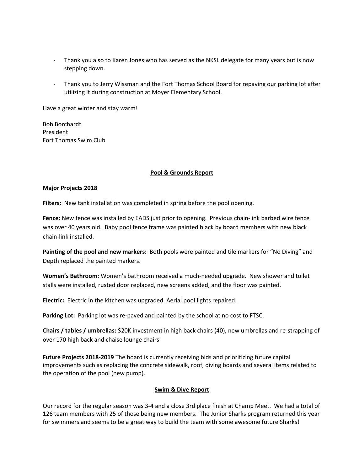- ‐ Thank you also to Karen Jones who has served as the NKSL delegate for many years but is now stepping down.
- ‐ Thank you to Jerry Wissman and the Fort Thomas School Board for repaving our parking lot after utilizing it during construction at Moyer Elementary School.

Have a great winter and stay warm!

Bob Borchardt President Fort Thomas Swim Club

### **Pool & Grounds Report**

### **Major Projects 2018**

Filters: New tank installation was completed in spring before the pool opening.

Fence: New fence was installed by EADS just prior to opening. Previous chain-link barbed wire fence was over 40 years old. Baby pool fence frame was painted black by board members with new black chain‐link installed.

**Painting of the pool and new markers:** Both pools were painted and tile markers for "No Diving" and Depth replaced the painted markers.

**Women's Bathroom:** Women's bathroom received a much‐needed upgrade. New shower and toilet stalls were installed, rusted door replaced, new screens added, and the floor was painted.

**Electric:** Electric in the kitchen was upgraded. Aerial pool lights repaired.

**Parking Lot:** Parking lot was re-paved and painted by the school at no cost to FTSC.

**Chairs / tables / umbrellas:** \$20K investment in high back chairs (40), new umbrellas and re‐strapping of over 170 high back and chaise lounge chairs.

**Future Projects 2018‐2019** The board is currently receiving bids and prioritizing future capital improvements such as replacing the concrete sidewalk, roof, diving boards and several items related to the operation of the pool (new pump).

#### **Swim & Dive Report**

Our record for the regular season was 3‐4 and a close 3rd place finish at Champ Meet. We had a total of 126 team members with 25 of those being new members. The Junior Sharks program returned this year for swimmers and seems to be a great way to build the team with some awesome future Sharks!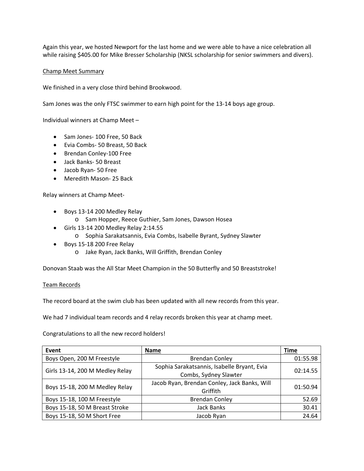Again this year, we hosted Newport for the last home and we were able to have a nice celebration all while raising \$405.00 for Mike Bresser Scholarship (NKSL scholarship for senior swimmers and divers).

### Champ Meet Summary

We finished in a very close third behind Brookwood.

Sam Jones was the only FTSC swimmer to earn high point for the 13‐14 boys age group.

Individual winners at Champ Meet –

- Sam Jones-100 Free, 50 Back
- Evia Combs‐ 50 Breast, 50 Back
- Brendan Conley-100 Free
- Jack Banks‐ 50 Breast
- Jacob Ryan- 50 Free
- Meredith Mason- 25 Back

Relay winners at Champ Meet‐

- Boys 13-14 200 Medley Relay
	- o Sam Hopper, Reece Guthier, Sam Jones, Dawson Hosea
- Girls 13‐14 200 Medley Relay 2:14.55
	- o Sophia Sarakatsannis, Evia Combs, Isabelle Byrant, Sydney Slawter
- Boys 15-18 200 Free Relay
	- o Jake Ryan, Jack Banks, Will Griffith, Brendan Conley

Donovan Staab was the All Star Meet Champion in the 50 Butterfly and 50 Breaststroke!

#### Team Records

The record board at the swim club has been updated with all new records from this year.

We had 7 individual team records and 4 relay records broken this year at champ meet.

Congratulations to all the new record holders!

| Event                           | Name                                                                 | <b>Time</b> |
|---------------------------------|----------------------------------------------------------------------|-------------|
| Boys Open, 200 M Freestyle      | <b>Brendan Conley</b>                                                | 01:55.98    |
| Girls 13-14, 200 M Medley Relay | Sophia Sarakatsannis, Isabelle Bryant, Evia                          | 02:14.55    |
|                                 | Combs, Sydney Slawter                                                |             |
| Boys 15-18, 200 M Medley Relay  | Jacob Ryan, Brendan Conley, Jack Banks, Will<br>01:50.94<br>Griffith |             |
|                                 |                                                                      |             |
| Boys 15-18, 50 M Breast Stroke  | <b>Jack Banks</b>                                                    | 30.41       |
| Boys 15-18, 50 M Short Free     | Jacob Ryan                                                           | 24.64       |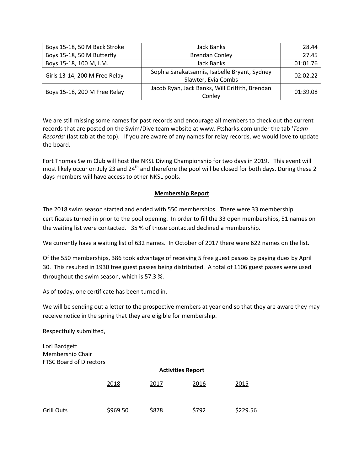| Boys 15-18, 50 M Back Stroke  | Jack Banks                                                           | 28.44    |
|-------------------------------|----------------------------------------------------------------------|----------|
| Boys 15-18, 50 M Butterfly    | <b>Brendan Conley</b>                                                | 27.45    |
| Boys 15-18, 100 M, I.M.       | Jack Banks                                                           | 01:01.76 |
| Girls 13-14, 200 M Free Relay | Sophia Sarakatsannis, Isabelle Bryant, Sydney<br>Slawter, Evia Combs | 02:02.22 |
| Boys 15-18, 200 M Free Relay  | Jacob Ryan, Jack Banks, Will Griffith, Brendan<br>Conley             | 01:39.08 |

We are still missing some names for past records and encourage all members to check out the current records that are posted on the Swim/Dive team website at www. Ftsharks.com under the tab '*Team Records'* (last tab at the top). If you are aware of any names for relay records, we would love to update the board.

Fort Thomas Swim Club will host the NKSL Diving Championship for two days in 2019. This event will most likely occur on July 23 and 24<sup>th</sup> and therefore the pool will be closed for both days. During these 2 days members will have access to other NKSL pools.

# **Membership Report**

The 2018 swim season started and ended with 550 memberships. There were 33 membership certificates turned in prior to the pool opening. In order to fill the 33 open memberships, 51 names on the waiting list were contacted. 35 % of those contacted declined a membership.

We currently have a waiting list of 632 names. In October of 2017 there were 622 names on the list.

Of the 550 memberships, 386 took advantage of receiving 5 free guest passes by paying dues by April 30. This resulted in 1930 free guest passes being distributed. A total of 1106 guest passes were used throughout the swim season, which is 57.3 %.

As of today, one certificate has been turned in.

We will be sending out a letter to the prospective members at year end so that they are aware they may receive notice in the spring that they are eligible for membership.

Respectfully submitted,

Lori Bardgett Membership Chair FTSC Board of Directors

|                   | <b>Activities Report</b> |       |       |          |
|-------------------|--------------------------|-------|-------|----------|
|                   | 2018                     | 2017  | 2016  | 2015     |
| <b>Grill Outs</b> | \$969.50                 | \$878 | \$792 | \$229.56 |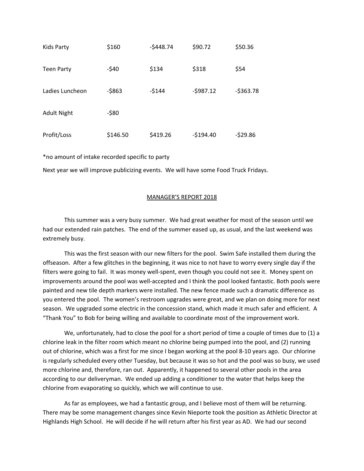| <b>Kids Party</b>  | \$160    | $-5448.74$ | \$90.72    | \$50.36    |
|--------------------|----------|------------|------------|------------|
| <b>Teen Party</b>  | $-540$   | \$134      | \$318      | \$54       |
| Ladies Luncheon    | $-5863$  | $-5144$    | $-5987.12$ | $-5363.78$ |
| <b>Adult Night</b> | $-580$   |            |            |            |
| Profit/Loss        | \$146.50 | \$419.26   | $-$194.40$ | $-529.86$  |

\*no amount of intake recorded specific to party

Next year we will improve publicizing events. We will have some Food Truck Fridays.

#### MANAGER'S REPORT 2018

This summer was a very busy summer. We had great weather for most of the season until we had our extended rain patches. The end of the summer eased up, as usual, and the last weekend was extremely busy.

This was the first season with our new filters for the pool. Swim Safe installed them during the offseason. After a few glitches in the beginning, it was nice to not have to worry every single day if the filters were going to fail. It was money well-spent, even though you could not see it. Money spent on improvements around the pool was well-accepted and I think the pool looked fantastic. Both pools were painted and new tile depth markers were installed. The new fence made such a dramatic difference as you entered the pool. The women's restroom upgrades were great, and we plan on doing more for next season. We upgraded some electric in the concession stand, which made it much safer and efficient. A "Thank You" to Bob for being willing and available to coordinate most of the improvement work.

We, unfortunately, had to close the pool for a short period of time a couple of times due to (1) a chlorine leak in the filter room which meant no chlorine being pumped into the pool, and (2) running out of chlorine, which was a first for me since I began working at the pool 8‐10 years ago. Our chlorine is regularly scheduled every other Tuesday, but because it was so hot and the pool was so busy, we used more chlorine and, therefore, ran out. Apparently, it happened to several other pools in the area according to our deliveryman. We ended up adding a conditioner to the water that helps keep the chlorine from evaporating so quickly, which we will continue to use.

As far as employees, we had a fantastic group, and I believe most of them will be returning. There may be some management changes since Kevin Nieporte took the position as Athletic Director at Highlands High School. He will decide if he will return after his first year as AD. We had our second